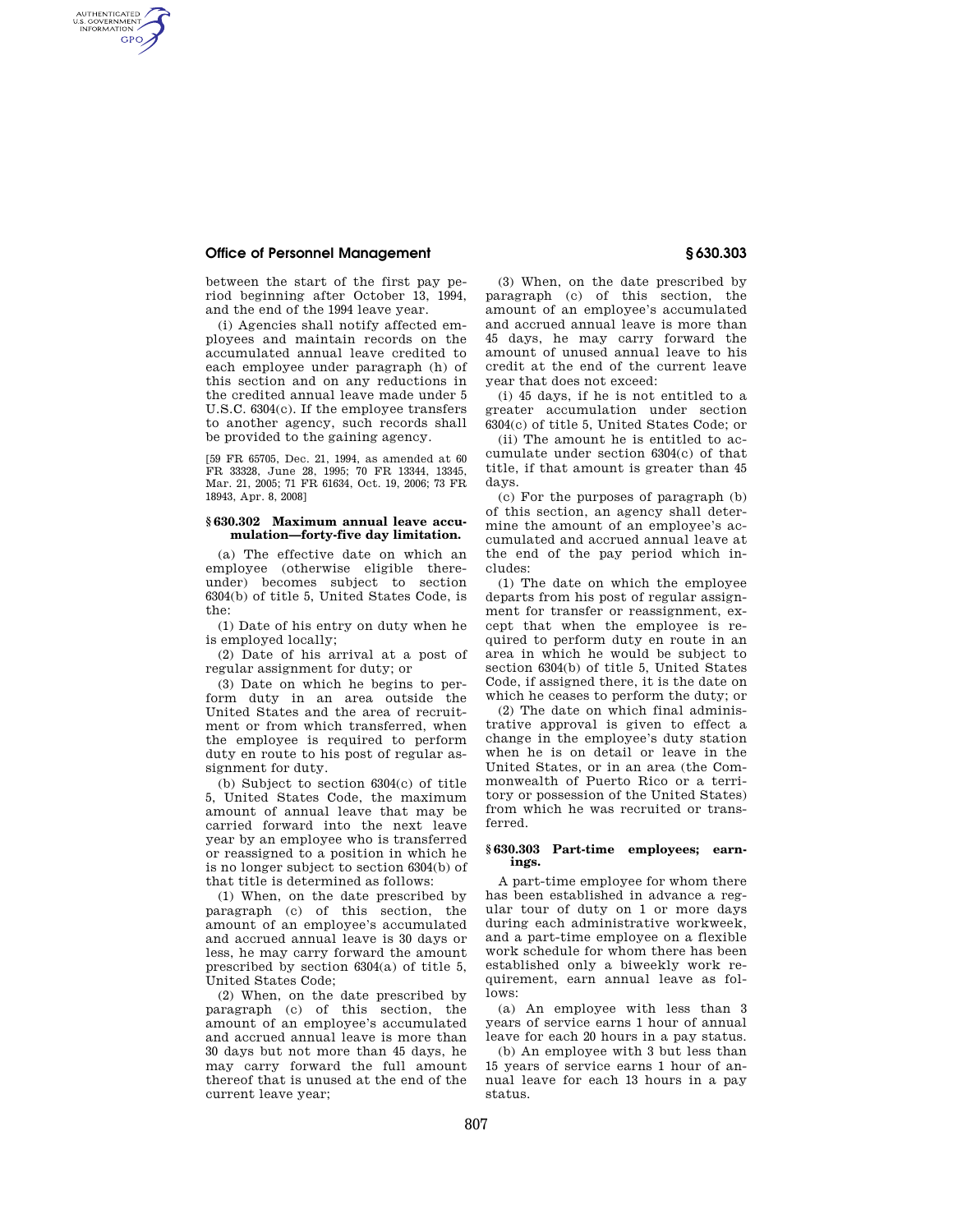# **Office of Personnel Management § 630.303**

AUTHENTICATED<br>U.S. GOVERNMENT<br>INFORMATION **GPO** 

> between the start of the first pay period beginning after October 13, 1994, and the end of the 1994 leave year.

(i) Agencies shall notify affected employees and maintain records on the accumulated annual leave credited to each employee under paragraph (h) of this section and on any reductions in the credited annual leave made under 5 U.S.C. 6304(c). If the employee transfers to another agency, such records shall be provided to the gaining agency.

[59 FR 65705, Dec. 21, 1994, as amended at 60 FR 33328, June 28, 1995; 70 FR 13344, 13345, Mar. 21, 2005; 71 FR 61634, Oct. 19, 2006; 73 FR 18943, Apr. 8, 2008]

### **§ 630.302 Maximum annual leave accumulation—forty-five day limitation.**

(a) The effective date on which an employee (otherwise eligible thereunder) becomes subject to section 6304(b) of title 5, United States Code, is the:

(1) Date of his entry on duty when he is employed locally;

(2) Date of his arrival at a post of regular assignment for duty; or

(3) Date on which he begins to perform duty in an area outside the United States and the area of recruitment or from which transferred, when the employee is required to perform duty en route to his post of regular assignment for duty.

(b) Subject to section 6304(c) of title 5, United States Code, the maximum amount of annual leave that may be carried forward into the next leave year by an employee who is transferred or reassigned to a position in which he is no longer subject to section 6304(b) of that title is determined as follows:

(1) When, on the date prescribed by paragraph (c) of this section, the amount of an employee's accumulated and accrued annual leave is 30 days or less, he may carry forward the amount prescribed by section 6304(a) of title 5, United States Code;

(2) When, on the date prescribed by paragraph (c) of this section, the amount of an employee's accumulated and accrued annual leave is more than 30 days but not more than 45 days, he may carry forward the full amount thereof that is unused at the end of the current leave year;

(3) When, on the date prescribed by paragraph (c) of this section, the amount of an employee's accumulated and accrued annual leave is more than 45 days, he may carry forward the amount of unused annual leave to his credit at the end of the current leave year that does not exceed:

(i) 45 days, if he is not entitled to a greater accumulation under section 6304(c) of title 5, United States Code; or

(ii) The amount he is entitled to accumulate under section 6304(c) of that title, if that amount is greater than 45 days.

(c) For the purposes of paragraph (b) of this section, an agency shall determine the amount of an employee's accumulated and accrued annual leave at the end of the pay period which includes:

(1) The date on which the employee departs from his post of regular assignment for transfer or reassignment, except that when the employee is required to perform duty en route in an area in which he would be subject to section 6304(b) of title 5, United States Code, if assigned there, it is the date on which he ceases to perform the duty; or

(2) The date on which final administrative approval is given to effect a change in the employee's duty station when he is on detail or leave in the United States, or in an area (the Commonwealth of Puerto Rico or a territory or possession of the United States) from which he was recruited or transferred.

## **§ 630.303 Part-time employees; earnings.**

A part-time employee for whom there has been established in advance a regular tour of duty on 1 or more days during each administrative workweek, and a part-time employee on a flexible work schedule for whom there has been established only a biweekly work requirement, earn annual leave as follows:

(a) An employee with less than 3 years of service earns 1 hour of annual leave for each 20 hours in a pay status.

(b) An employee with 3 but less than 15 years of service earns 1 hour of annual leave for each 13 hours in a pay status.